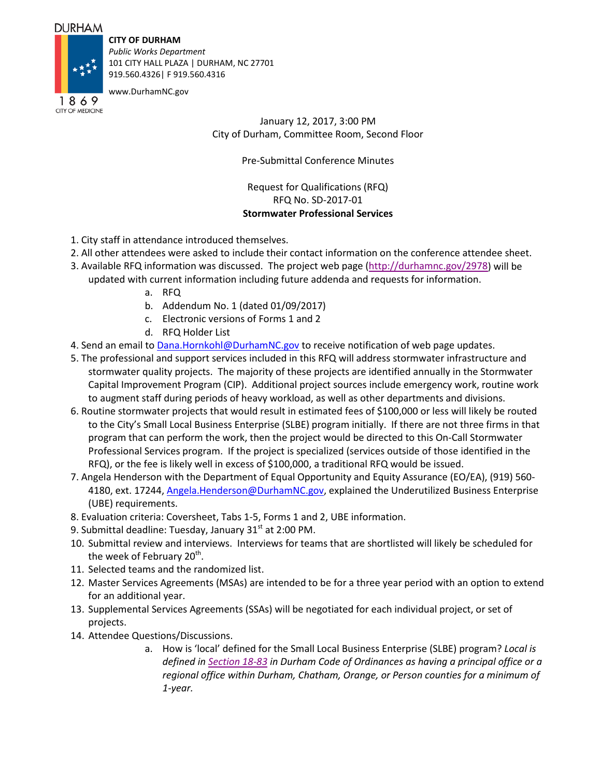## **DURHAM**

**CITY OF DURHAM**

*Public Works Department* 101 CITY HALL PLAZA | DURHAM, NC 27701 919.560.4326| F 919.560.4316

www.DurhamNC.gov

1869 CITY OF MEDICINE

January 12, 2017, 3:00 PM City of Durham, Committee Room, Second Floor

Pre-Submittal Conference Minutes

Request for Qualifications (RFQ) RFQ No. SD-2017-01 **Stormwater Professional Services**

- 1. City staff in attendance introduced themselves.
- 2. All other attendees were asked to include their contact information on the conference attendee sheet.
- 3. Available RFQ information was discussed. The project web page (http://durhamnc.gov/2978) will be updated with current information including future addenda and requests for information.
	- a. RFQ
	- b. Addendum No. 1 (dated 01/09/2017)
	- c. Electronic versions of Forms 1 and 2
	- d. RFQ Holder List
- 4. Send an email to Dana. Hornkohl@DurhamNC.gov to receive notification of web page updates.
- 5. The professional and support services included in this RFQ will address stormwater infrastructure and stormwater quality projects. The majority of these projects are identified annually in the Stormwater Capital Improvement Program (CIP). Additional project sources include emergency work, routine work to augment staff during periods of heavy workload, as well as other departments and divisions.
- 6. Routine stormwater projects that would result in estimated fees of \$100,000 or less will likely be routed to the City's Small Local Business Enterprise (SLBE) program initially. If there are not three firms in that program that can perform the work, then the project would be directed to this On-Call Stormwater Professional Services program. If the project is specialized (services outside of those identified in the RFQ), or the fee is likely well in excess of \$100,000, a traditional RFQ would be issued.
- 7. Angela Henderson with the Department of Equal Opportunity and Equity Assurance (EO/EA), (919) 560- 4180, ext. 17244, Angela.Henderson@DurhamNC.gov, explained the Underutilized Business Enterprise (UBE) requirements.
- 8. Evaluation criteria: Coversheet, Tabs 1-5, Forms 1 and 2, UBE information.
- 9. Submittal deadline: Tuesday, January  $31<sup>st</sup>$  at 2:00 PM.
- 10. Submittal review and interviews. Interviews for teams that are shortlisted will likely be scheduled for the week of February 20<sup>th</sup>.
- 11. Selected teams and the randomized list.
- 12. Master Services Agreements (MSAs) are intended to be for a three year period with an option to extend for an additional year.
- 13. Supplemental Services Agreements (SSAs) will be negotiated for each individual project, or set of projects.
- 14. Attendee Questions/Discussions.
	- a. How is 'local' defined for the Small Local Business Enterprise (SLBE) program? *Local is defined in Section 18-83 in Durham Code of Ordinances as having a principal office or a regional office within Durham, Chatham, Orange, or Person counties for a minimum of 1-year.*